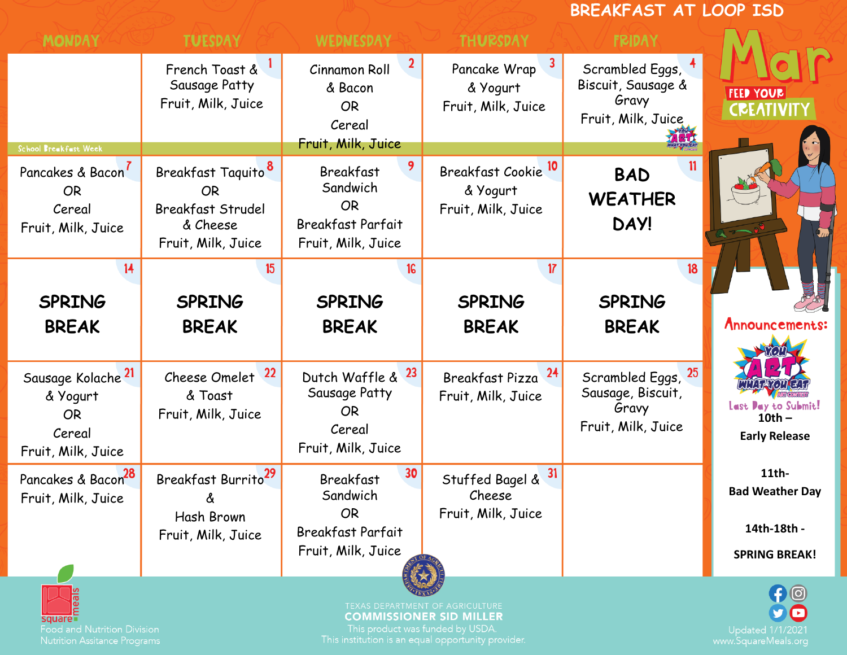## **BREAKFAST AT LOOP ISD MONDAY TUESDAY** WEDNESDAY **THURSDAY FRIDAY** French Toast & Cinnamon Roll Pancake Wrap Scrambled Eggs, Sausage Patty Biscuit, Sausage & & Bacon & Yogurt **FEED YOUR** Gravy Fruit, Milk, Juice Fruit, Milk, Juice **CREATIVITY** OR Fruit, Milk, Juice Cereal Fruit, Milk, Juice School Breakfast Week 9 Breakfast Cookie<sup>10</sup> Breakfast Taquito Pancakes & Bacon<sup>7</sup> Breakfast **BAD Sandwich** OR OR & Yogurt **WEATHER**  OR Cereal Breakfast Strudel Fruit, Milk, Juice **DAY!** & Cheese Breakfast Parfait Fruit, Milk, Juice Fruit, Milk, Juice Fruit, Milk, Juice  $14$ 15 16  $17$  $18<sup>2</sup>$ **SPRING SPRING SPRING SPRING SPRING BREAK BREAK BREAK BREAK BREAK** Announcements: Sausage Kolache<sup>21</sup>  $22$  $23$  $24$ Scrambled Eggs, 25 Cheese Omelet Dutch Waffle & Breakfast Pizza Sausage Patty Sausage, Biscuit, & Yogurt & Toast Fruit, Milk, Juice Last Day to Submit! Gravy OR Fruit, Milk, Juice OR **10th –** Fruit, Milk, Juice Cereal Cereal **Early Release** Fruit, Milk, Juice Fruit, Milk, Juice Breakfast Burrito Pancakes & Bacon<sup>28</sup> 30 **11th-**Stuffed Bagel & Breakfast **Bad Weather Day** Sandwich Cheese Fruit, Milk, Juice & OR Fruit, Milk, JuiceHash Brown **14th-18th -** Breakfast Parfait Fruit, Milk, Juice Fruit, Milk, Juice **SPRING BREAK! COMMISSIONER SID MILLER**

**Food and Nutrition Division** 

This product was funded by USDA.

**Updated 1/1/2021**